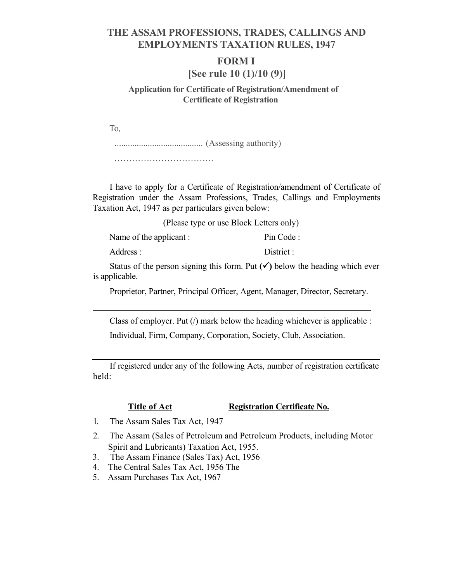# **THE ASSAM PROFESSIONS, TRADES, CALLINGS AND EMPLOYMENTS TAXATION RULES, 1947**

#### **FORM I**

## **[See rule 10 (1)/10 (9)]**

### **Application for Certificate of Registration/Amendment of Certificate of Registration**

To,

........................................ (Assessing authority)

…………………………………………

I have to apply for a Certificate of Registration/amendment of Certificate of Registration under the Assam Professions, Trades, Callings and Employments Taxation Act, 1947 as per particulars given below:

(Please type or use Block Letters only)

Name of the applicant : Pin Code :

Address : District :

Status of the person signing this form. Put  $(\checkmark)$  below the heading which ever is applicable.

Proprietor, Partner, Principal Officer, Agent, Manager, Director, Secretary.

Class of employer. Put  $($ ) mark below the heading whichever is applicable : Individual, Firm, Company, Corporation, Society, Club, Association.

If registered under any of the following Acts, number of registration certificate held:

#### **Title of Act Registration Certificate No.**

- 1. The Assam Sales Tax Act, 1947
- 2. The Assam (Sales of Petroleum and Petroleum Products, including Motor Spirit and Lubricants) Taxation Act, 1955.
- 3. The Assam Finance (Sales Tax) Act, 1956
- 4. The Central Sales Tax Act, 1956 The
- 5. Assam Purchases Tax Act, 1967